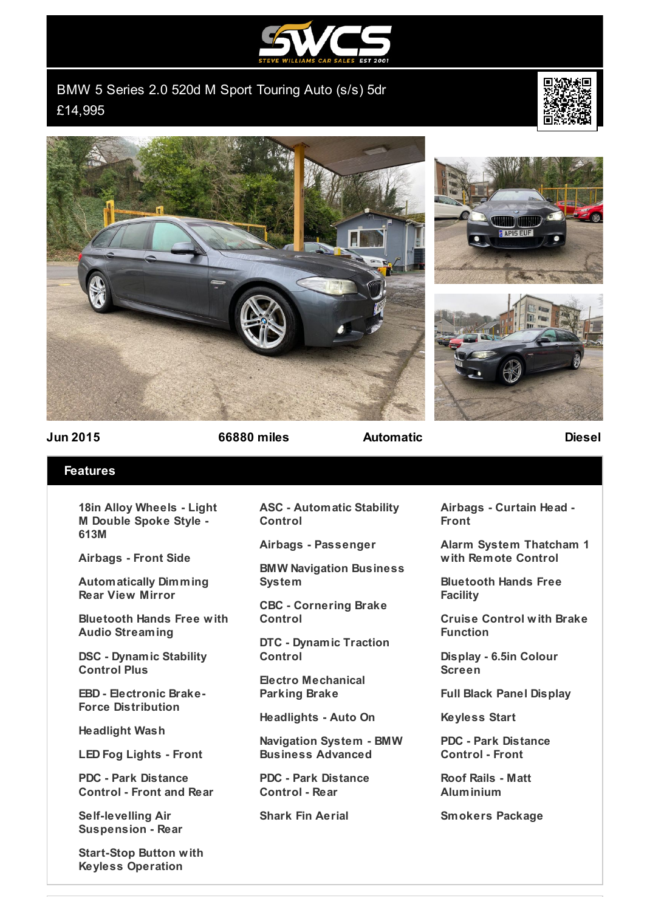

BMW 5 Series 2.0 520d M Sport Touring Auto (s/s) 5dr £14,995









**Jun 2015 66880 miles Automatic Diesel**

## **Features**

**18in Alloy Wheels - Light M Double Spoke Style - 613M**

**Airbags - Front Side**

**Automatically Dimming Rear View Mirror**

**Bluetooth Hands Free with Audio Streaming**

**DSC - Dynamic Stability Control Plus**

**EBD - Electronic Brake-Force Distribution**

**Headlight Wash**

**LED Fog Lights - Front**

**PDC - Park Distance Control - Front and Rear**

**Self-levelling Air Suspension - Rear**

**Start-Stop Button with Keyless Operation**

**ASC - Automatic Stability Control**

**Airbags - Passenger**

**BMW Navigation Business System**

**CBC - Cornering Brake Control**

**DTC - Dynamic Traction Control**

**Electro Mechanical Parking Brake**

**Headlights - Auto On**

**Navigation System - BMW Business Advanced**

**PDC - Park Distance Control - Rear**

**Shark Fin Aerial**

**Airbags - Curtain Head - Front**

**Alarm System Thatcham 1 with Remote Control**

**Bluetooth Hands Free Facility**

**Cruise Control with Brake Function**

**Display - 6.5in Colour Screen**

**Full Black Panel Display**

**Keyless Start**

**PDC - Park Distance Control - Front**

**Roof Rails - Matt Aluminium**

**Smokers Package**